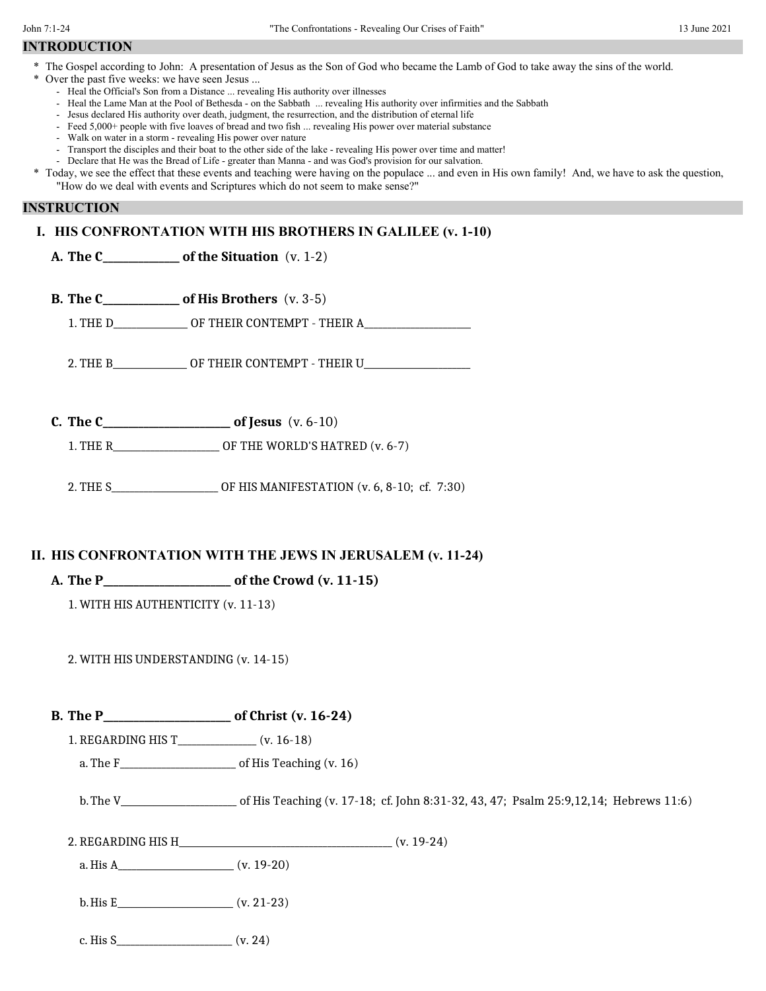## **INTRODUCTION**

- \* The Gospel according to John: A presentation of Jesus as the Son of God who became the Lamb of God to take away the sins of the world.
- \* Over the past five weeks: we have seen Jesus ...
	- Heal the Official's Son from a Distance ... revealing His authority over illnesses
	- Heal the Lame Man at the Pool of Bethesda on the Sabbath ... revealing His authority over infirmities and the Sabbath
	- Jesus declared His authority over death, judgment, the resurrection, and the distribution of eternal life
	- Feed 5,000+ people with five loaves of bread and two fish ... revealing His power over material substance
	- Walk on water in a storm revealing His power over nature
	- Transport the disciples and their boat to the other side of the lake revealing His power over time and matter!
	- Declare that He was the Bread of Life greater than Manna and was God's provision for our salvation.

#### **INSTRUCTION**

### **I. HIS CONFRONTATION WITH HIS BROTHERS IN GALILEE (v. 1-10)**

|                                     |  |                                                             | A. The $C_{\text{2}}$ of the Situation (v. 1-2)                                  |  |
|-------------------------------------|--|-------------------------------------------------------------|----------------------------------------------------------------------------------|--|
|                                     |  |                                                             | <b>B.</b> The $C_$ of His Brothers $(v. 3-5)$                                    |  |
|                                     |  |                                                             | 1. THE D_________________ OF THEIR CONTEMPT - THEIR A___________________________ |  |
|                                     |  |                                                             | 2. THE B_______________ OF THEIR CONTEMPT - THEIR U_____________________________ |  |
|                                     |  |                                                             |                                                                                  |  |
|                                     |  |                                                             | 1. THE R_________________________ OF THE WORLD'S HATRED (v. 6-7)                 |  |
|                                     |  |                                                             | 2. THE S_________________________ OF HIS MANIFESTATION (v. 6, 8-10; cf. 7:30)    |  |
|                                     |  | II. HIS CONFRONTATION WITH THE JEWS IN JERUSALEM (v. 11-24) |                                                                                  |  |
| 1. WITH HIS AUTHENTICITY (v. 11-13) |  |                                                             |                                                                                  |  |
|                                     |  | 2. WITH HIS UNDERSTANDING (v. 14-15)                        |                                                                                  |  |
|                                     |  |                                                             |                                                                                  |  |
|                                     |  |                                                             | 1. REGARDING HIS T________________ (v. 16-18)                                    |  |
|                                     |  |                                                             | a. The $F_{\text{max}}$ of His Teaching (v. 16)                                  |  |
|                                     |  |                                                             |                                                                                  |  |

b.The V\_\_\_\_\_\_\_\_\_\_\_\_\_\_\_\_\_\_\_\_\_\_\_\_\_ of His Teaching (v. 17-18; cf. John 8:31-32, 43, 47; Psalm 25:9,12,14; Hebrews 11:6)

2. REGARDING HIS H (v. 19-24)

a.His A\_\_\_\_\_\_\_\_\_\_\_\_\_\_\_\_\_\_\_\_\_\_\_\_\_ (v. 19-20)

 $b. H is E$  (v. 21-23)

c. His  $S_$  (v. 24)

<sup>\*</sup> Today, we see the effect that these events and teaching were having on the populace ... and even in His own family! And, we have to ask the question, "How do we deal with events and Scriptures which do not seem to make sense?"